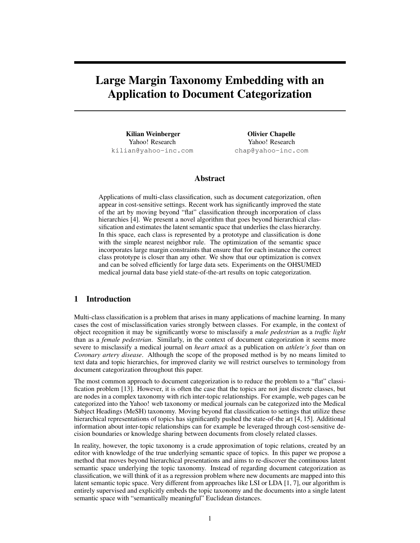# Large Margin Taxonomy Embedding with an Application to Document Categorization

Kilian Weinberger Yahoo! Research kilian@yahoo-inc.com

Olivier Chapelle Yahoo! Research chap@yahoo-inc.com

## Abstract

Applications of multi-class classification, such as document categorization, often appear in cost-sensitive settings. Recent work has significantly improved the state of the art by moving beyond "flat" classification through incorporation of class hierarchies [4]. We present a novel algorithm that goes beyond hierarchical classification and estimates the latent semantic space that underlies the class hierarchy. In this space, each class is represented by a prototype and classification is done with the simple nearest neighbor rule. The optimization of the semantic space incorporates large margin constraints that ensure that for each instance the correct class prototype is closer than any other. We show that our optimization is convex and can be solved efficiently for large data sets. Experiments on the OHSUMED medical journal data base yield state-of-the-art results on topic categorization.

## 1 Introduction

Multi-class classification is a problem that arises in many applications of machine learning. In many cases the cost of misclassification varies strongly between classes. For example, in the context of object recognition it may be significantly worse to misclassify a *male pedestrian* as a *traffic light* than as a *female pedestrian*. Similarly, in the context of document categorization it seems more severe to misclassify a medical journal on *heart attack* as a publication on *athlete's foot* than on *Coronary artery disease*. Although the scope of the proposed method is by no means limited to text data and topic hierarchies, for improved clarity we will restrict ourselves to terminology from document categorization throughout this paper.

The most common approach to document categorization is to reduce the problem to a "flat" classification problem [13]. However, it is often the case that the topics are not just discrete classes, but are nodes in a complex taxonomy with rich inter-topic relationships. For example, web pages can be categorized into the Yahoo! web taxonomy or medical journals can be categorized into the Medical Subject Headings (MeSH) taxonomy. Moving beyond flat classification to settings that utilize these hierarchical representations of topics has significantly pushed the state-of-the art [4, 15]. Additional information about inter-topic relationships can for example be leveraged through cost-sensitive decision boundaries or knowledge sharing between documents from closely related classes.

In reality, however, the topic taxonomy is a crude approximation of topic relations, created by an editor with knowledge of the true underlying semantic space of topics. In this paper we propose a method that moves beyond hierarchical presentations and aims to re-discover the continuous latent semantic space underlying the topic taxonomy. Instead of regarding document categorization as classification, we will think of it as a regression problem where new documents are mapped into this latent semantic topic space. Very different from approaches like LSI or LDA [1, 7], our algorithm is entirely supervised and explicitly embeds the topic taxonomy and the documents into a single latent semantic space with "semantically meaningful" Euclidean distances.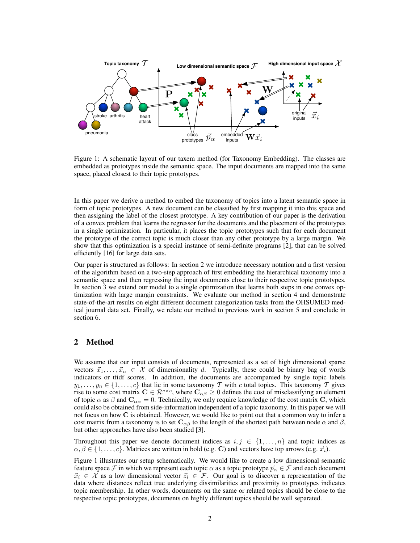

Figure 1: A schematic layout of our taxem method (for Taxonomy Embedding). The classes are embedded as prototypes inside the semantic space. The input documents are mapped into the same space, placed closest to their topic prototypes.

In this paper we derive a method to embed the taxonomy of topics into a latent semantic space in form of topic prototypes. A new document can be classified by first mapping it into this space and then assigning the label of the closest prototype. A key contribution of our paper is the derivation of a convex problem that learns the regressor for the documents and the placement of the prototypes in a single optimization. In particular, it places the topic prototypes such that for each document the prototype of the correct topic is much closer than any other prototype by a large margin. We show that this optimization is a special instance of semi-definite programs [2], that can be solved efficiently [16] for large data sets.

Our paper is structured as follows: In section 2 we introduce necessary notation and a first version of the algorithm based on a two-step approach of first embedding the hierarchical taxonomy into a semantic space and then regressing the input documents close to their respective topic prototypes. In section 3 we extend our model to a single optimization that learns both steps in one convex optimization with large margin constraints. We evaluate our method in section 4 and demonstrate state-of-the-art results on eight different document categorization tasks from the OHSUMED medical journal data set. Finally, we relate our method to previous work in section 5 and conclude in section 6.

## 2 Method

We assume that our input consists of documents, represented as a set of high dimensional sparse vectors  $\vec{x}_1, \dots, \vec{x}_n \in \mathcal{X}$  of dimensionality d. Typically, these could be binary bag of words indicators or tfidf scores. In addition, the documents are accompanied by single topic labels  $y_1, \ldots, y_n \in \{1, \ldots, c\}$  that lie in some taxonomy T with c total topics. This taxonomy T gives rise to some cost matrix  $C \in \mathcal{R}^{c \times c}$ , where  $C_{\alpha\beta} \geq 0$  defines the cost of misclassifying an element of topic  $\alpha$  as  $\beta$  and  $\mathbf{C}_{\alpha\alpha} = 0$ . Technically, we only require knowledge of the cost matrix C, which could also be obtained from side-information independent of a topic taxonomy. In this paper we will not focus on how C is obtained. However, we would like to point out that a common way to infer a cost matrix from a taxonomy is to set  $\mathbf{C}_{\alpha\beta}$  to the length of the shortest path between node  $\alpha$  and  $\beta$ , but other approaches have also been studied [3].

Throughout this paper we denote document indices as  $i, j \in \{1, ..., n\}$  and topic indices as  $\alpha, \beta \in \{1, \ldots, c\}$ . Matrices are written in bold (e.g. C) and vectors have top arrows (e.g.  $\vec{x}_i$ ).

Figure 1 illustrates our setup schematically. We would like to create a low dimensional semantic feature space F in which we represent each topic  $\alpha$  as a topic prototype  $\vec{p}_{\alpha} \in \mathcal{F}$  and each document  $\vec{x}_i \in \mathcal{X}$  as a low dimensional vector  $\vec{z}_i \in \mathcal{F}$ . Our goal is to discover a representation of the data where distances reflect true underlying dissimilarities and proximity to prototypes indicates topic membership. In other words, documents on the same or related topics should be close to the respective topic prototypes, documents on highly different topics should be well separated.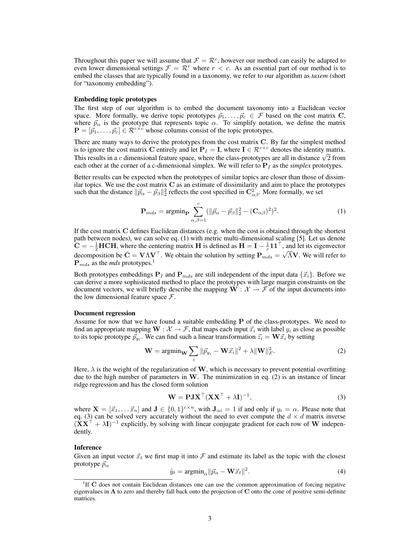Throughout this paper we will assume that  $\mathcal{F} = \mathcal{R}^c$ , however our method can easily be adapted to even lower dimensional settings  $\mathcal{F} = \mathcal{R}^r$  where  $r < c$ . As an essential part of our method is to embed the classes that are typically found in a taxonomy, we refer to our algorithm as *taxem* (short for "taxonomy embedding").

### Embedding topic prototypes

The first step of our algorithm is to embed the document taxonomy into a Euclidean vector space. More formally, we derive topic prototypes  $\vec{p}_1, \ldots, \vec{p}_c \in \mathcal{F}$  based on the cost matrix C, where  $\vec{p}_{\alpha}$  is the prototype that represents topic  $\alpha$ . To simplify notation, we define the matrix  $\mathbf{P} = [\vec{p}_1, \dots, \vec{p}_c] \in \mathcal{R}^{c \times c}$  whose columns consist of the topic prototypes.

There are many ways to derive the prototypes from the cost matrix C. By far the simplest method is to ignore the cost matrix C entirely and let  $P_I = I$ , where  $I \in \mathcal{R}^{c \times c}$  denotes the identity matrix. This results in a c dimensional feature space, where the class-prototypes are all in distance  $\sqrt{2}$  from each other at the corner of a c-dimensional simplex. We will refer to  $P<sub>I</sub>$  as the *simplex* prototypes.

Better results can be expected when the prototypes of similar topics are closer than those of dissimilar topics. We use the cost matrix  $C$  as an estimate of dissimilarity and aim to place the prototypes such that the distance  $\|\vec{p}_{\alpha} - \vec{p}_{\beta}\|_2^2$  reflects the cost specified in  $\mathbb{C}^2_{\alpha\beta}$ . More formally, we set

$$
\mathbf{P}_{mds} = \operatorname{argmin}_{\mathbf{P}} \sum_{\alpha,\beta=1}^{c} (||\vec{p}_{\alpha} - \vec{p}_{\beta}||_2^2 - (\mathbf{C}_{\alpha\beta})^2)^2.
$$
 (1)

If the cost matrix C defines Euclidean distances (e.g. when the cost is obtained through the shortest path between nodes), we can solve eq. (1) with metric multi-dimensional scaling [5]. Let us denote  $\overline{C} = -\frac{1}{2} HCH$ , where the centering matrix H is defined as  $H = I - \frac{1}{c} 11^\top$ , and let its eigenvector decomposition be  $\bar{C} = V \Lambda V^{\top}$ . We obtain the solution by setting  $P_{mds}^c = \sqrt{\Lambda} V$ . We will refer to  $P_{mds}$  as the *mds* prototypes.<sup>1</sup>

Both prototypes embeddings  $P_I$  and  $P_{mds}$  are still independent of the input data  $\{\vec{x}_i\}$ . Before we can derive a more sophisticated method to place the prototypes with large margin constraints on the document vectors, we will briefly describe the mapping  $\mathbf{W} : \mathcal{X} \to \mathcal{F}$  of the input documents into the low dimensional feature space  $\mathcal{F}$ .

### Document regression

Assume for now that we have found a suitable embedding P of the class-prototypes. We need to find an appropriate mapping  $W : \mathcal{X} \to \mathcal{F}$ , that maps each input  $\vec{x}_i$  with label  $y_i$  as close as possible to its topic prototype  $\vec{p}_{y_i}$ . We can find such a linear transformation  $\vec{z}_i = \mathbf{W}\vec{x}_i$  by setting

$$
\mathbf{W} = \operatorname{argmin}_{\mathbf{W}} \sum_{i} ||\vec{p}_{y_i} - \mathbf{W}\vec{x}_i||^2 + \lambda \|\mathbf{W}\|_F^2.
$$
 (2)

Here,  $\lambda$  is the weight of the regularization of W, which is necessary to prevent potential overfitting due to the high number of parameters in  $W$ . The minimization in eq. (2) is an instance of linear ridge regression and has the closed form solution

$$
\mathbf{W} = \mathbf{P}\mathbf{J}\mathbf{X}^{\top}(\mathbf{X}\mathbf{X}^{\top} + \lambda\mathbf{I})^{-1},\tag{3}
$$

where  $\mathbf{X} = [\vec{x}_1, \dots, \vec{x}_n]$  and  $\mathbf{J} \in \{0,1\}^{c \times n}$ , with  $\mathbf{J}_{\alpha i} = 1$  if and only if  $y_i = \alpha$ . Please note that eq. (3) can be solved very accurately without the need to ever compute the  $d \times d$  matrix inverse  $(XX^{\top} + \lambda I)^{-1}$  explicitly, by solving with linear conjugate gradient for each row of W independently.

### Inference

Given an input vector  $\vec{x}_t$  we first map it into  $\mathcal F$  and estimate its label as the topic with the closest prototype  $\vec{p}_{\alpha}$ 

$$
\hat{y}_t = \operatorname{argmin}_{\alpha} ||\vec{p}_{\alpha} - \mathbf{W}\vec{x}_t||^2. \tag{4}
$$

<sup>&</sup>lt;sup>1</sup>If  $\bar{C}$  does not contain Euclidean distances one can use the common approximation of forcing negative eigenvalues in  $\Lambda$  to zero and thereby fall back onto the projection of C onto the cone of positive semi-definite matrices.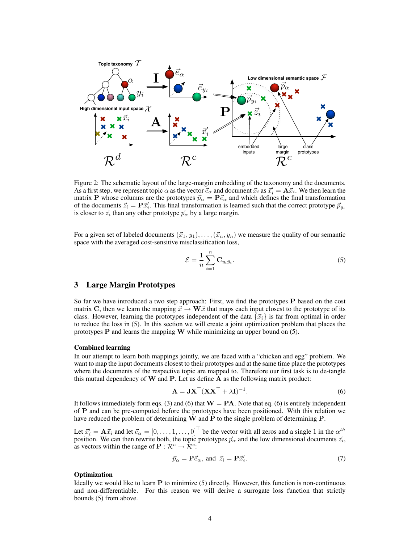

Figure 2: The schematic layout of the large-margin embedding of the taxonomy and the documents. As a first step, we represent topic  $\alpha$  as the vector  $\vec{e}_{\alpha}$  and document  $\vec{x}_i$  as  $\vec{x}'_i = \mathbf{A}\vec{x}_i$ . We then learn the matrix P whose columns are the prototypes  $\vec{p}_{\alpha} = \vec{P} \vec{e}_{\alpha}$  and which defines the final transformation of the documents  $\vec{z}_i = \mathbf{P}\vec{x}'_i$ . This final transformation is learned such that the correct prototype  $\vec{p}_{y_i}$ is closer to  $\vec{z}_i$  than any other prototype  $\vec{p}_{\alpha}$  by a large margin.

For a given set of labeled documents  $(\vec{x}_1, y_1), \ldots, (\vec{x}_n, y_n)$  we measure the quality of our semantic space with the averaged cost-sensitive misclassification loss,

$$
\mathcal{E} = \frac{1}{n} \sum_{i=1}^{n} \mathbf{C}_{y_i \hat{y}_i}.
$$
 (5)

## 3 Large Margin Prototypes

So far we have introduced a two step approach: First, we find the prototypes P based on the cost matrix C, then we learn the mapping  $\vec{x} \to \mathbf{W}\vec{x}$  that maps each input closest to the prototype of its class. However, learning the prototypes independent of the data  $\{\vec{x}_i\}$  is far from optimal in order to reduce the loss in (5). In this section we will create a joint optimization problem that places the prototypes P and learns the mapping W while minimizing an upper bound on (5).

### Combined learning

In our attempt to learn both mappings jointly, we are faced with a "chicken and egg" problem. We want to map the input documents closest to their prototypes and at the same time place the prototypes where the documents of the respective topic are mapped to. Therefore our first task is to de-tangle this mutual dependency of  $W$  and  $P$ . Let us define  $A$  as the following matrix product:

$$
\mathbf{A} = \mathbf{J} \mathbf{X}^{\top} (\mathbf{X} \mathbf{X}^{\top} + \lambda \mathbf{I})^{-1}.
$$
 (6)

It follows immediately form eqs. (3) and (6) that  $W = PA$ . Note that eq. (6) is entirely independent of P and can be pre-computed before the prototypes have been positioned. With this relation we have reduced the problem of determining W and P to the single problem of determining P.

Let  $\vec{x}'_i = \mathbf{A}\vec{x}_i$  and let  $\vec{e}_\alpha = [0, \dots, 1, \dots, 0]^\top$  be the vector with all zeros and a single 1 in the  $\alpha^{th}$ position. We can then rewrite both, the topic prototypes  $\vec{p}_{\alpha}$  and the low dimensional documents  $\vec{z}_i$ , as vectors within the range of  $P : \mathcal{R}^c \to \mathcal{R}^c$ :

$$
\vec{p}_{\alpha} = \mathbf{P}\vec{e}_{\alpha}, \text{ and } \vec{z}_i = \mathbf{P}\vec{x}'_i. \tag{7}
$$

### **Optimization**

Ideally we would like to learn  $P$  to minimize (5) directly. However, this function is non-continuous and non-differentiable. For this reason we will derive a surrogate loss function that strictly bounds (5) from above.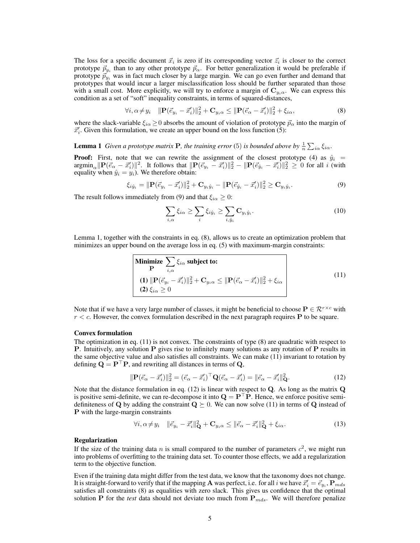The loss for a specific document  $\vec{x}_i$  is zero if its corresponding vector  $\vec{z}_i$  is closer to the correct prototype  $\vec{p}_{y_i}$  than to any other prototype  $\vec{p}_{\alpha}$ . For better generalization it would be preferable if prototype  $\vec{p}_{y_i}$  was in fact much closer by a large margin. We can go even further and demand that prototypes that would incur a larger misclassification loss should be further separated than those with a small cost. More explicitly, we will try to enforce a margin of  $C_{y_i\alpha}$ . We can express this condition as a set of "soft" inequality constraints, in terms of squared-distances,

$$
\forall i, \alpha \neq y_i \quad \|\mathbf{P}(\vec{e}_{y_i} - \vec{x}'_i)\|_2^2 + \mathbf{C}_{y_i \alpha} \le \|\mathbf{P}(\vec{e}_{\alpha} - \vec{x}'_i)\|_2^2 + \xi_{i \alpha},\tag{8}
$$

where the slack-variable  $\xi_{i\alpha} \geq 0$  absorbs the amount of violation of prototype  $\vec{p}_{\alpha}$  into the margin of  $\vec{x}'_i$ . Given this formulation, we create an upper bound on the loss function (5):

## **Lemma 1** Given a prototype matrix **P**, the training error (5) is bounded above by  $\frac{1}{n} \sum_{i\alpha} \xi_{i\alpha}$ .

**Proof:** First, note that we can rewrite the assignment of the closest prototype (4) as  $\hat{y}_i$  =  $\arg\min_{\alpha} \| P(\vec{e}_{\alpha} - \vec{x}'_i) \|^2$ . It follows that  $\| P(\vec{e}_{y_i} - \vec{x}'_i) \|^2_2 - \| P(\vec{e}_{\hat{y}_i} - \vec{x}'_i) \|^2_2 \geq 0$  for all i (with equality when  $\hat{y}_i = y_i$ ). We therefore obtain:

$$
\xi_{i\hat{y}_i} = \|\mathbf{P}(\vec{e}_{y_i} - \vec{x}'_i)\|_2^2 + \mathbf{C}_{y_i\hat{y}_i} - \|\mathbf{P}(\vec{e}_{\hat{y}_i} - \vec{x}'_i)\|_2^2 \ge \mathbf{C}_{y_i\hat{y}_i}.
$$
\n(9)

The result follows immediately from (9) and that  $\xi_{i\alpha} \geq 0$ :

$$
\sum_{i,\alpha} \xi_{i\alpha} \ge \sum_{i} \xi_{i\hat{y}_i} \ge \sum_{i,\hat{y}_i} \mathbf{C}_{y_i\hat{y}_i}.
$$
\n(10)

Lemma 1, together with the constraints in eq. (8), allows us to create an optimization problem that minimizes an upper bound on the average loss in eq. (5) with maximum-margin constraints:

Minimize 
$$
\sum_{i,\alpha} \xi_{i\alpha}
$$
 subject to:  
\n(1) 
$$
\|\mathbf{P}(\vec{e}_{y_i} - \vec{x}'_i)\|_2^2 + \mathbf{C}_{y_i\alpha} \le \|\mathbf{P}(\vec{e}_{\alpha} - \vec{x}'_i)\|_2^2 + \xi_{i\alpha}
$$
  
\n(2)  $\xi_{i\alpha} \ge 0$  (11)

Note that if we have a very large number of classes, it might be beneficial to choose  $P \in \mathbb{R}^{r \times c}$  with  $r < c$ . However, the convex formulation described in the next paragraph requires **P** to be square.

#### Convex formulation

The optimization in eq. (11) is not convex. The constraints of type (8) are quadratic with respect to **P.** Intuitively, any solution **P** gives rise to infinitely many solutions as any rotation of **P** results in the same objective value and also satisfies all constraints. We can make (11) invariant to rotation by defining  $\mathbf{Q} = \mathbf{P}^\top \mathbf{P}$ , and rewriting all distances in terms of  $\mathbf{Q}$ ,

$$
\|\mathbf{P}(\vec{e}_{\alpha} - \vec{x}'_i)\|^2_2 = (\vec{e}_{\alpha} - \vec{x}'_i)^{\top} \mathbf{Q}(\vec{e}_{\alpha} - \vec{x}'_i) = \|\vec{e}_{\alpha} - \vec{x}'_i\|^2_{\mathbf{Q}}.
$$
\n(12)

Note that the distance formulation in eq.  $(12)$  is linear with respect to Q. As long as the matrix Q is positive semi-definite, we can re-decompose it into  $\mathbf{Q} = \mathbf{P}^\top \mathbf{P}$ . Hence, we enforce positive semidefiniteness of Q by adding the constraint  $Q \succeq 0$ . We can now solve (11) in terms of Q instead of P with the large-margin constraints

$$
\forall i, \alpha \neq y_i \quad \|\vec{e}_{y_i} - \vec{x}'_i\|_{\mathbf{Q}}^2 + \mathbf{C}_{y_i \alpha} \leq \|\vec{e}_{\alpha} - \vec{x}'_i\|_{\mathbf{Q}}^2 + \xi_{i\alpha}.\tag{13}
$$

### Regularization

If the size of the training data n is small compared to the number of parameters  $c^2$ , we might run into problems of overfitting to the training data set. To counter those effects, we add a regularization term to the objective function.

Even if the training data might differ from the test data, we know that the taxonomy does not change. It is straight-forward to verify that if the mapping  ${\bf A}$  was perfect, i.e. for all  $i$  we have  $\vec{x}'_i=\vec{e}_{y_i}, {\bf P}_{mds}$ satisfies all constraints (8) as equalities with zero slack. This gives us confidence that the optimal solution P for the *test* data should not deviate too much from  $P_{mds}$ . We will therefore penalize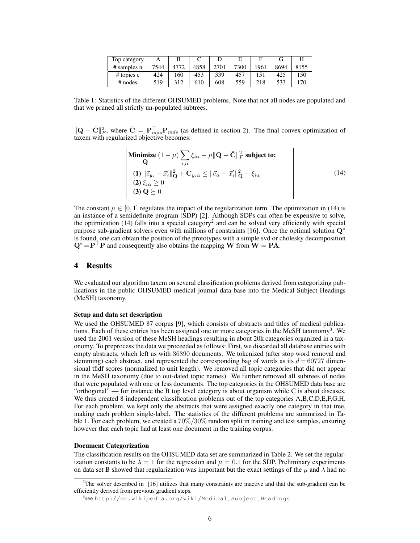| Top category  |      |      |      |      |      |      |      | Н    |
|---------------|------|------|------|------|------|------|------|------|
| $#$ samples n | 7544 | 4772 | 4858 | 2701 | 7300 | 1961 | 8694 | 8155 |
| $#$ topics c  | 424  | 160  | 453  | 339  | 457  | 151  | 425  | 150  |
| $#$ nodes     | 519  | 312  | 610  | 608  | 559  | 218  | 533  | 170  |

Table 1: Statistics of the different OHSUMED problems. Note that not all nodes are populated and that we pruned all strictly un-populated subtrees.

 $\|\mathbf{Q} - \bar{\mathbf{C}}\|^2_F$ , where  $\bar{\mathbf{C}} = \mathbf{P}_{mds}^{\top} \mathbf{P}_{mds}$  (as defined in section 2). The final convex optimization of taxem with regularized objective becomes:

Minimize 
$$
(1 - \mu) \sum_{i,\alpha} \xi_{i\alpha} + \mu ||\mathbf{Q} - \bar{\mathbf{C}}||_F^2
$$
 subject to:  
\n
$$
\mathbf{(1)} ||\vec{e}_{y_i} - \vec{x}_i' ||_\mathbf{Q}^2 + \mathbf{C}_{y_i \alpha} \le ||\vec{e}_{\alpha} - \vec{x}_i' ||_\mathbf{Q}^2 + \xi_{i\alpha}
$$
\n
$$
\mathbf{(2)} \xi_{i\alpha} \ge 0
$$
\n
$$
\mathbf{(3)} \mathbf{Q} \succeq 0
$$
\n(14)

The constant  $\mu \in [0, 1]$  regulates the impact of the regularization term. The optimization in (14) is an instance of a semidefinite program (SDP) [2]. Although SDPs can often be expensive to solve, the optimization  $(14)$  falls into a special category<sup>2</sup> and can be solved very efficiently with special purpose sub-gradient solvers even with millions of constraints [16]. Once the optimal solution  $Q^*$ is found, one can obtain the position of the prototypes with a simple svd or cholesky decomposition  $Q^* = P^{\top}P$  and consequently also obtains the mapping W from  $W = PA$ .

## 4 Results

We evaluated our algorithm taxem on several classification problems derived from categorizing publications in the public OHSUMED medical journal data base into the Medical Subject Headings (MeSH) taxonomy.

### Setup and data set description

We used the OHSUMED 87 corpus [9], which consists of abstracts and titles of medical publications. Each of these entries has been assigned one or more categories in the MeSH taxonomy<sup>3</sup>. We used the 2001 version of these MeSH headings resulting in about 20k categories organized in a taxonomy. To preprocess the data we proceeded as follows: First, we discarded all database entries with empty abstracts, which left us with 36890 documents. We tokenized (after stop word removal and stemming) each abstract, and represented the corresponding bag of words as its  $d = 60727$  dimensional tfidf scores (normalized to unit length). We removed all topic categories that did not appear in the MeSH taxonomy (due to out-dated topic names). We further removed all subtrees of nodes that were populated with one or less documents. The top categories in the OHSUMED data base are "orthogonal" — for instance the B top level category is about organism while C is about diseases. We thus created 8 independent classification problems out of the top categories A,B,C,D,E,F,G,H. For each problem, we kept only the abstracts that were assigned exactly one category in that tree, making each problem single-label. The statistics of the different problems are summrized in Table 1. For each problem, we created a 70%/30% random split in training and test samples, ensuring however that each topic had at least one document in the training corpus.

### Document Categorization

The classification results on the OHSUMED data set are summarized in Table 2. We set the regularization constants to be  $\lambda = 1$  for the regression and  $\mu = 0.1$  for the SDP. Preliminary experiments on data set B showed that regularization was important but the exact settings of the  $\mu$  and  $\lambda$  had no

<sup>&</sup>lt;sup>2</sup>The solver described in [16] utilizes that many constraints are inactive and that the sub-gradient can be efficiently derived from previous gradient steps.

<sup>&</sup>lt;sup>3</sup>seehttp://en.wikipedia.org/wiki/Medical\_Subject\_Headings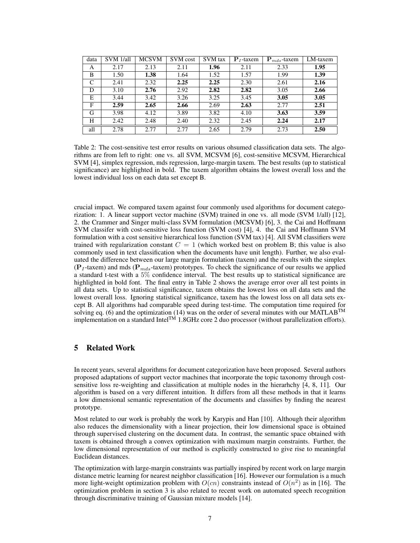| data | SVM 1/all | <b>MCSVM</b> | SVM cost | SVM tax | ${\bf P}_I$ -taxem | ${\bf P}_{mds}$ -taxem | LM-taxem |
|------|-----------|--------------|----------|---------|--------------------|------------------------|----------|
| A    | 2.17      | 2.13         | 2.11     | 1.96    | 2.11               | 2.33                   | 1.95     |
| B    | 1.50      | 1.38         | 1.64     | 1.52    | 1.57               | 1.99                   | 1.39     |
| C    | 2.41      | 2.32         | 2.25     | 2.25    | 2.30               | 2.61                   | 2.16     |
| D    | 3.10      | 2.76         | 2.92     | 2.82    | 2.82               | 3.05                   | 2.66     |
| E    | 3.44      | 3.42         | 3.26     | 3.25    | 3.45               | 3.05                   | 3.05     |
| F    | 2.59      | 2.65         | 2.66     | 2.69    | 2.63               | 2.77                   | 2.51     |
| G    | 3.98      | 4.12         | 3.89     | 3.82    | 4.10               | 3.63                   | 3.59     |
| H    | 2.42      | 2.48         | 2.40     | 2.32    | 2.45               | 2.24                   | 2.17     |
| all  | 2.78      | 2.77         | 2.77     | 2.65    | 2.79               | 2.73                   | 2.50     |

Table 2: The cost-sensitive test error results on various ohsumed classification data sets. The algorithms are from left to right: one vs. all SVM, MCSVM [6], cost-sensitive MCSVM, Hierarchical SVM [4], simplex regression, mds regression, large-margin taxem. The best results (up to statistical significance) are highlighted in bold. The taxem algorithm obtains the lowest overall loss and the lowest individual loss on each data set except B.

crucial impact. We compared taxem against four commonly used algorithms for document categorization: 1. A linear support vector machine (SVM) trained in one vs. all mode (SVM 1/all) [12], 2. the Crammer and Singer multi-class SVM formulation (MCSVM) [6], 3. the Cai and Hoffmann SVM classifer with cost-sensitive loss function (SVM cost) [4], 4. the Cai and Hoffmann SVM formulation with a cost sensitive hierarchical loss function (SVM tax) [4]. All SVM classifiers were trained with regularization constant  $C = 1$  (which worked best on problem B; this value is also commonly used in text classification when the documents have unit length). Further, we also evaluated the difference between our large margin formulation (taxem) and the results with the simplex ( $P<sub>I</sub>$ -taxem) and mds ( $P<sub>mds</sub>$ -taxem) prototypes. To check the significance of our results we applied a standard t-test with a 5% confidence interval. The best results up to statistical significance are highlighted in bold font. The final entry in Table 2 shows the average error over all test points in all data sets. Up to statistical significance, taxem obtains the lowest loss on all data sets and the lowest overall loss. Ignoring statistical significance, taxem has the lowest loss on all data sets except B. All algorithms had comparable speed during test-time. The computation time required for solving eq. (6) and the optimization (14) was on the order of several minutes with our MATLAB<sup>TM</sup> implementation on a standard Intel<sup>TM</sup> 1.8GHz core 2 duo processor (without parallelization efforts).

## 5 Related Work

In recent years, several algorithms for document categorization have been proposed. Several authors proposed adaptations of support vector machines that incorporate the topic taxonomy through costsensitive loss re-weighting and classification at multiple nodes in the hierarhchy [4, 8, 11]. Our algorithm is based on a very different intuition. It differs from all these methods in that it learns a low dimensional semantic representation of the documents and classifies by finding the nearest prototype.

Most related to our work is probably the work by Karypis and Han [10]. Although their algorithm also reduces the dimensionality with a linear projection, their low dimensional space is obtained through supervised clustering on the document data. In contrast, the semantic space obtained with taxem is obtained through a convex optimization with maximum margin constraints. Further, the low dimensional representation of our method is explicitly constructed to give rise to meaningful Euclidean distances.

The optimization with large-margin constraints was partially inspired by recent work on large margin distance metric learning for nearest neighbor classification [16]. However our formulation is a much more light-weight optimization problem with  $O(cn)$  constraints instead of  $O(n^2)$  as in [16]. The optimization problem in section 3 is also related to recent work on automated speech recognition through discriminative training of Gaussian mixture models [14].